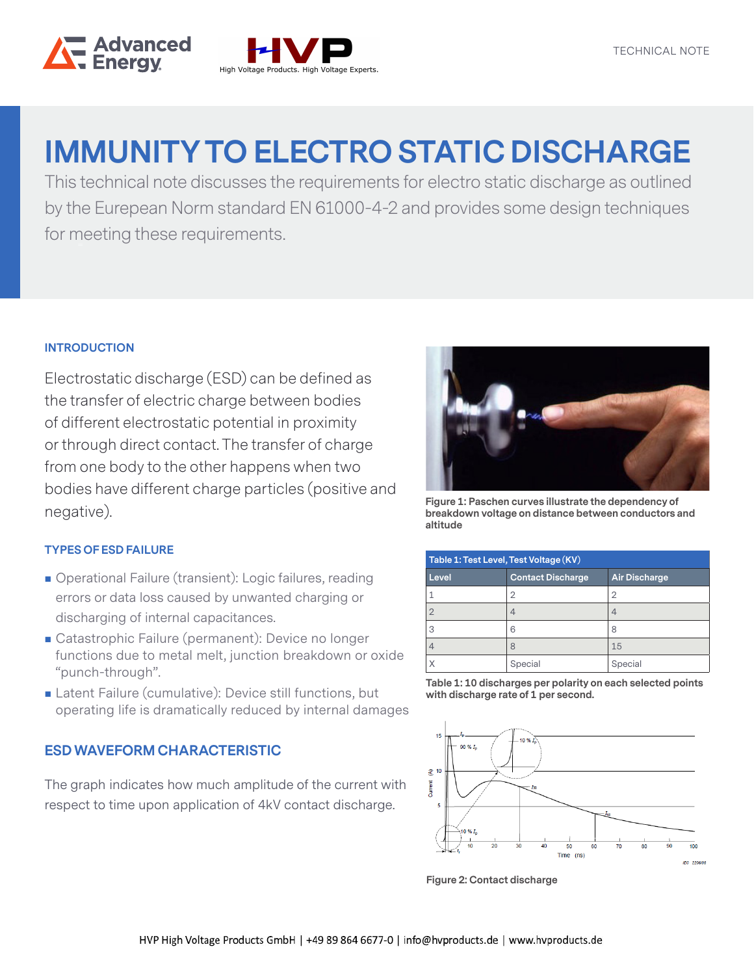



# **IMMUNITY TO ELECTRO STATIC DISCHARGE**

This technical note discusses the requirements for electro static discharge as outlined by the Eurepean Norm standard EN 61000-4-2 and provides some design techniques for meeting these requirements.

## **INTRODUCTION**

Electrostatic discharge (ESD) can be defined as the transfer of electric charge between bodies of different electrostatic potential in proximity or through direct contact. The transfer of charge from one body to the other happens when two bodies have different charge particles (positive and negative).

### **TYPES OF ESD FAILURE**

- Operational Failure (transient): Logic failures, reading errors or data loss caused by unwanted charging or discharging of internal capacitances.
- Catastrophic Failure (permanent): Device no longer functions due to metal melt, junction breakdown or oxide "punch-through".
- Latent Failure (cumulative): Device still functions, but operating life is dramatically reduced by internal damages

## **ESD WAVEFORM CHARACTERISTIC**

The graph indicates how much amplitude of the current with respect to time upon application of 4kV contact discharge.



**Figure 1: Paschen curves illustrate the dependency of breakdown voltage on distance between conductors and altitude**

| Table 1: Test Level, Test Voltage (KV) |                          |                      |
|----------------------------------------|--------------------------|----------------------|
| Level                                  | <b>Contact Discharge</b> | <b>Air Discharge</b> |
|                                        | 2                        | 2                    |
| 2                                      |                          | 4                    |
| 3                                      | 6                        | 8                    |
|                                        | 8                        | 15                   |
|                                        | Special                  | Special              |

**Table 1: 10 discharges per polarity on each selected points with discharge rate of 1 per second.**



**Figure 2: Contact discharge**